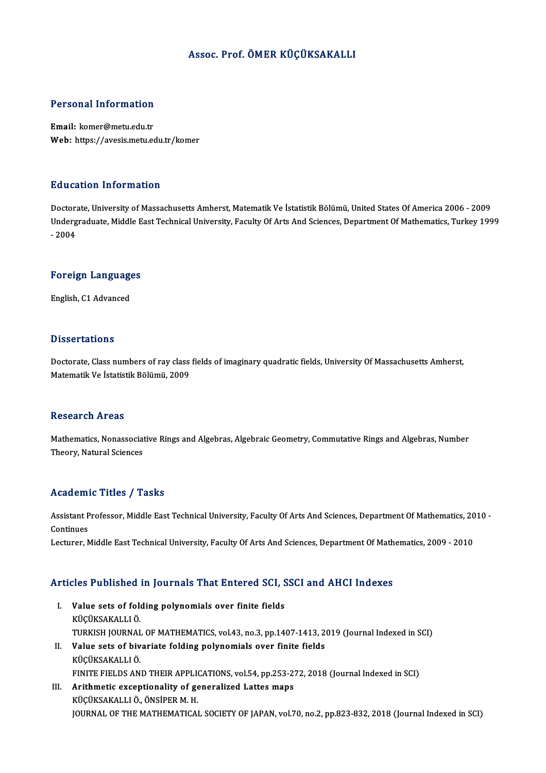## Assoc. Prof. ÖMER KÜÇÜKSAKALLI

### Personal Information

Email: komer@metu.edu.tr Web: https://avesis.metu.edu.tr/komer

#### Education Information

Education Information<br>Doctorate, University of Massachusetts Amherst, Matematik Ve İstatistik Bölümü, United States Of America 2006 - 2009<br>Undergraduate Middle Fast Technical University, Fasulty Of Arts And Sciences, Depar Undergraduate, Middle East Technical University, Faculty Of Arts And Sciences, Department Of Mathematics, Turkey 1999<br>- 2004 Doctora<br>Underg<br>- 2004

## -<sub>2004</sub><br>Foreign Languages <mark>Foreign Languag</mark>e<br>English, C1 Advanced

English, C1 Advanced<br>Dissertations

Dissertations<br>Doctorate, Class numbers of ray class fields of imaginary quadratic fields, University Of Massachusetts Amherst,<br>Matematik Ve İstatistik Bölümü, 2009 2 1999st catrono<br>Doctorate, Class numbers of ray class<br>Matematik Ve İstatistik Bölümü, 2009 Matematik Ve İstatistik Bölümü, 2009<br>Research Areas

Research Areas<br>Mathematics, Nonassociative Rings and Algebras, Algebraic Geometry, Commutative Rings and Algebras, Number<br>Theory, Natural Sciences **Theory, Extracts**<br>Mathematics, Nonassociat<br>Theory, Natural Sciences

## Theory, Natural Sciences<br>Academic Titles / Tasks

Academic Titles / Tasks<br>Assistant Professor, Middle East Technical University, Faculty Of Arts And Sciences, Department Of Mathematics, 2010 -<br>Continues Assistant P<br>Continues<br>Lecturer A

Continues<br>Lecturer, Middle East Technical University, Faculty Of Arts And Sciences, Department Of Mathematics, 2009 - 2010

# Lecturer, middle East Technical University, Factity Of Arts And Sciences, Department Of Math<br>Articles Published in Journals That Entered SCI, SSCI and AHCI Indexes

- rticles Published in Journals That Entered SCI, S<br>I. Value sets of folding polynomials over finite fields<br>KücüksAKALLLÖ Value sets of folding polynomials over finite fields<br>KÜÇÜKSAKALLI Ö. Value sets of folding polynomials over finite fields<br>KÜÇÜKSAKALLI Ö.<br>TURKISH JOURNAL OF MATHEMATICS, vol.43, no.3, pp.1407-1413, 2019 (Journal Indexed in SCI)<br>Volve sets of bivariste folding polynomials over finite fields KÜÇÜKSAKALLI Ö.<br>TURKISH JOURNAL OF MATHEMATICS, vol.43, no.3, pp.1407-1413, 2<br>II. Value sets of bivariate folding polynomials over finite fields<br>VÜÇÜKSAKALLI Ö
- TURKISH JOURNAL<br>Value sets of biv<br>KÜÇÜKSAKALLI Ö.<br>EINITE EIELDS AN II. Value sets of bivariate folding polynomials over finite fields<br>KÜÇÜKSAKALLI Ö.<br>FINITE FIELDS AND THEIR APPLICATIONS, vol.54, pp.253-272, 2018 (Journal Indexed in SCI) KÜÇÜKSAKALLI Ö.<br>FINITE FIELDS AND THEIR APPLICATIONS, vol.54, pp.253-2<br>III. Arithmetic exceptionality of generalized Lattes maps<br>*VÜCÜVSAVALLI* Ö. ÖNSIDER M.H
- FINITE FIELDS AND THEIR APPLI<br>Arithmetic exceptionality of ge<br>KÜÇÜKSAKALLI Ö., ÖNSİPER M. H.<br>JOUPNAL OF THE MATHEMATICAL KÜÇÜKSAKALLI Ö., ÖNSİPER M. H.<br>JOURNAL OF THE MATHEMATICAL SOCIETY OF JAPAN, vol.70, no.2, pp.823-832, 2018 (Journal Indexed in SCI)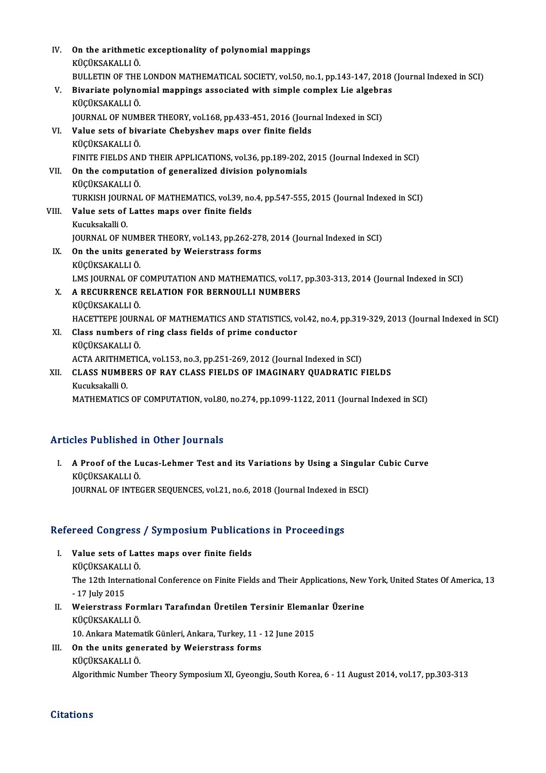| IV.   | On the arithmetic exceptionality of polynomial mappings<br>KÜÇÜKSAKALLI Ö.                               |
|-------|----------------------------------------------------------------------------------------------------------|
|       | BULLETIN OF THE LONDON MATHEMATICAL SOCIETY, vol.50, no.1, pp.143-147, 2018 (Journal Indexed in SCI)     |
| V.    | Bivariate polynomial mappings associated with simple complex Lie algebras<br>KÜÇÜKSAKALLI Ö.             |
|       | JOURNAL OF NUMBER THEORY, vol.168, pp.433-451, 2016 (Journal Indexed in SCI)                             |
| VI.   | Value sets of bivariate Chebyshev maps over finite fields<br>KÜÇÜKSAKALLI Ö.                             |
|       | FINITE FIELDS AND THEIR APPLICATIONS, vol.36, pp.189-202, 2015 (Journal Indexed in SCI)                  |
| VII.  | On the computation of generalized division polynomials                                                   |
|       | KÜÇÜKSAKALLI Ö.                                                                                          |
|       | TURKISH JOURNAL OF MATHEMATICS, vol.39, no.4, pp.547-555, 2015 (Journal Indexed in SCI)                  |
| VIII. | Value sets of Lattes maps over finite fields                                                             |
|       | Kucuksakalli 0.                                                                                          |
|       | JOURNAL OF NUMBER THEORY, vol.143, pp.262-278, 2014 (Journal Indexed in SCI)                             |
| IX.   | On the units generated by Weierstrass forms                                                              |
|       | KÜÇÜKSAKALLI Ö                                                                                           |
|       | LMS JOURNAL OF COMPUTATION AND MATHEMATICS, vol.17, pp.303-313, 2014 (Journal Indexed in SCI)            |
| Х.    | A RECURRENCE RELATION FOR BERNOULLI NUMBERS                                                              |
|       | KÜÇÜKSAKALLI Ö.                                                                                          |
|       | HACETTEPE JOURNAL OF MATHEMATICS AND STATISTICS, vol.42, no.4, pp.319-329, 2013 (Journal Indexed in SCI) |
| XI.   | Class numbers of ring class fields of prime conductor                                                    |
|       | KÜÇÜKSAKALLI Ö.                                                                                          |
|       | ACTA ARITHMETICA, vol.153, no.3, pp.251-269, 2012 (Journal Indexed in SCI)                               |
| XII.  | CLASS NUMBERS OF RAY CLASS FIELDS OF IMAGINARY QUADRATIC FIELDS<br>Kucuksakalli O                        |
|       | MATHEMATICS OF COMPUTATION, vol.80, no.274, pp.1099-1122, 2011 (Journal Indexed in SCI)                  |
|       |                                                                                                          |

## Articles Published in Other Journals

rticles Published in Other Journals<br>I. A Proof of the Lucas-Lehmer Test and its Variations by Using a Singular Cubic Curve<br>KUCUKSAKALLLÖ *KÜ*ÇÜKSAKALLIÖ.<br>A Proof of the Luküçüksakallı Ö.<br>JOUPMAL OF INTEG A Proof of the Lucas-Lehmer Test and its Variations by Using a Singula<br>KÜÇÜKSAKALLI Ö.<br>JOURNAL OF INTEGER SEQUENCES, vol.21, no.6, 2018 (Journal Indexed in ESCI)

# JOOKNAL OF INTEGEK SEQUENCES, VOL21, no.b, 2018 (Journal Indexed in<br>Refereed Congress / Symposium Publications in Proceedings

- efereed Congress / Symposium Publication<br>I. Value sets of Lattes maps over finite fields<br>Exicuscare in A I. Value sets of Lattes maps over finite fields The 12th International Conference on Finite Fields and Their Applications, New York, United States Of America, 13<br>- 17 July 2015 KÜÇÜKSAKALLI Ö
- The 12th International Conference on Finite Fields and Their Applications, New<br>- 17 July 2015<br>II. Weierstrass Formları Tarafından Üretilen Tersinir Elemanlar Üzerine<br>- VÜCÜVSAYALLI Ö - 17 July 2015<br>Weierstrass Fori<br>KÜÇÜKSAKALLI Ö.<br>10. Ankare Mateme Weierstrass Formları Tarafından Üretilen Tersinir Eleman<br>KÜÇÜKSAKALLI Ö.<br>10. Ankara Matematik Günleri, Ankara, Turkey, 11 - 12 June 2015<br>On the unite generated by Weierstrass forma

KÜÇÜKSAKALLI Ö.<br>10. Ankara Matematik Günleri, Ankara, Turkey, 11 -<br>III. On the units generated by Weierstrass forms<br>ERICITYSARALLI Ö 10. Ankara Matema<br>**On the units generally**<br>KÜÇÜKSAKALLIÖ.<br>Algonithmis Numbe

KÜÇÜKSAKALLI Ö.<br>Algorithmic Number Theory Symposium XI, Gyeongju, South Korea, 6 - 11 August 2014, vol.17, pp.303-313

### **Citations**